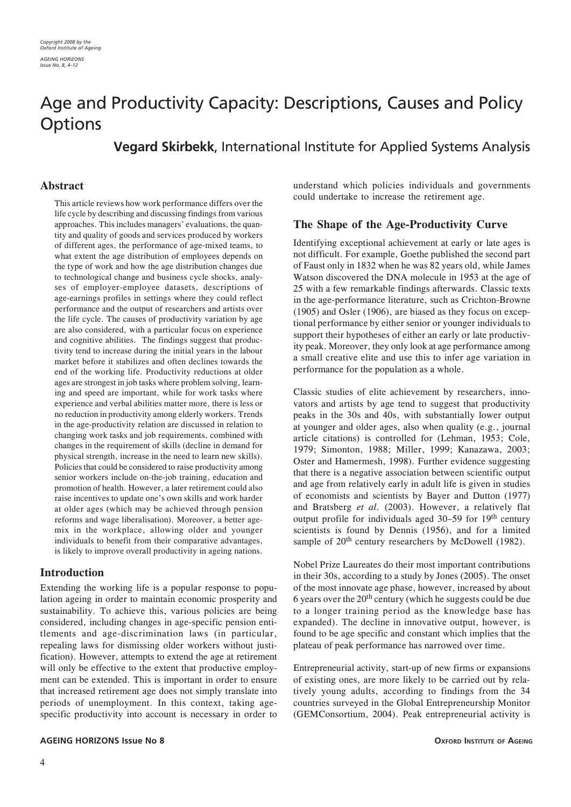# Age and Productivity Capacity: Descriptions, Causes and Policy **Options**

**Vegard Skirbekk**, International Institute for Applied Systems Analysis

# **Abstract**

This article reviews how work performance differs over the life cycle by describing and discussing findings from various approaches. This includes managers' evaluations, the quantity and quality of goods and services produced by workers of different ages, the performance of age-mixed teams, to what extent the age distribution of employees depends on the type of work and how the age distribution changes due to technological change and business cycle shocks, analyses of employer-employee datasets, descriptions of age-earnings profiles in settings where they could reflect performance and the output of researchers and artists over the life cycle. The causes of productivity variation by age are also considered, with a particular focus on experience and cognitive abilities. The findings suggest that productivity tend to increase during the initial years in the labour market before it stabilizes and often declines towards the end of the working life. Productivity reductions at older ages are strongest in job tasks where problem solving, learning and speed are important, while for work tasks where experience and verbal abilities matter more, there is less or no reduction in productivity among elderly workers. Trends in the age-productivity relation are discussed in relation to changing work tasks and job requirements, combined with changes in the requirement of skills (decline in demand for physical strength, increase in the need to learn new skills). Policies that could be considered to raise productivity among senior workers include on-the-job training, education and promotion of health. However, a later retirement could also raise incentives to update one's own skills and work harder at older ages (which may be achieved through pension reforms and wage liberalisation). Moreover, a better agemix in the workplace, allowing older and younger individuals to benefit from their comparative advantages, is likely to improve overall productivity in ageing nations.

# **Introduction**

Extending the working life is a popular response to population ageing in order to maintain economic prosperity and sustainability. To achieve this, various policies are being considered, including changes in age-specific pension entitlements and age-discrimination laws (in particular, repealing laws for dismissing older workers without justification). However, attempts to extend the age at retirement will only be effective to the extent that productive employment can be extended. This is important in order to ensure that increased retirement age does not simply translate into periods of unemployment. In this context, taking agespecific productivity into account is necessary in order to

**AGEING HORIZONS Issue No 8 OXFORD INSTITUTE OF AGEING** 

understand which policies individuals and governments could undertake to increase the retirement age.

# **The Shape of the Age-Productivity Curve**

Identifying exceptional achievement at early or late ages is not difficult. For example, Goethe published the second part of Faust only in 1832 when he was 82 years old, while James Watson discovered the DNA molecule in 1953 at the age of 25 with a few remarkable findings afterwards. Classic texts in the age-performance literature, such as Crichton-Browne (1905) and Osler (1906), are biased as they focus on exceptional performance by either senior or younger individuals to support their hypotheses of either an early or late productivity peak. Moreover, they only look at age performance among a small creative elite and use this to infer age variation in performance for the population as a whole.

Classic studies of elite achievement by researchers, innovators and artists by age tend to suggest that productivity peaks in the 30s and 40s, with substantially lower output at younger and older ages, also when quality (e.g., journal article citations) is controlled for (Lehman, 1953; Cole, 1979; Simonton, 1988; Miller, 1999; Kanazawa, 2003; Oster and Hamermesh, 1998). Further evidence suggesting that there is a negative association between scientific output and age from relatively early in adult life is given in studies of economists and scientists by Bayer and Dutton (1977) and Bratsberg *et al.* (2003). However, a relatively flat output profile for individuals aged 30–59 for 19th century scientists is found by Dennis (1956), and for a limited sample of 20<sup>th</sup> century researchers by McDowell (1982).

Nobel Prize Laureates do their most important contributions in their 30s, according to a study by Jones (2005). The onset of the most innovate age phase, however, increased by about 6 years over the  $20<sup>th</sup>$  century (which he suggests could be due to a longer training period as the knowledge base has expanded). The decline in innovative output, however, is found to be age specific and constant which implies that the plateau of peak performance has narrowed over time.

Entrepreneurial activity, start-up of new firms or expansions of existing ones, are more likely to be carried out by relatively young adults, according to findings from the 34 countries surveyed in the Global Entrepreneurship Monitor (GEMConsortium, 2004). Peak entrepreneurial activity is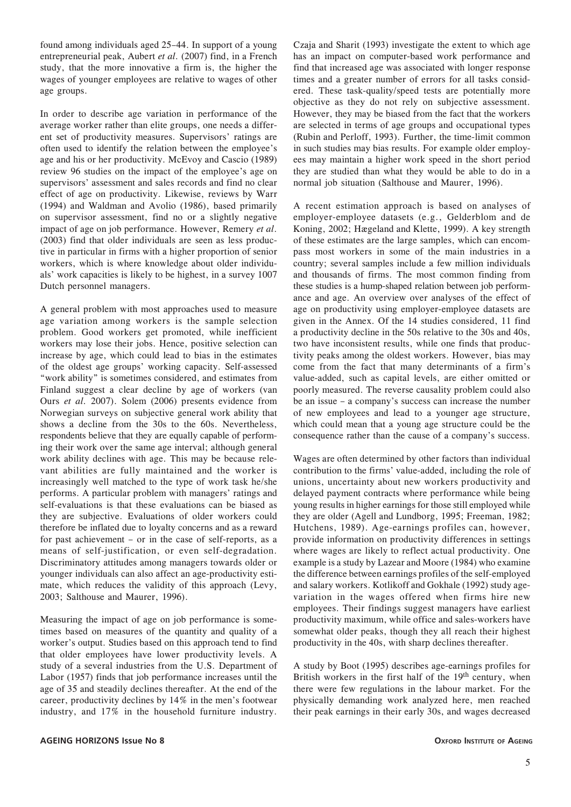found among individuals aged 25–44. In support of a young entrepreneurial peak, Aubert *et al.* (2007) find, in a French study, that the more innovative a firm is, the higher the wages of younger employees are relative to wages of other age groups.

In order to describe age variation in performance of the average worker rather than elite groups, one needs a different set of productivity measures. Supervisors' ratings are often used to identify the relation between the employee's age and his or her productivity. McEvoy and Cascio (1989) review 96 studies on the impact of the employee's age on supervisors' assessment and sales records and find no clear effect of age on productivity. Likewise, reviews by Warr (1994) and Waldman and Avolio (1986), based primarily on supervisor assessment, find no or a slightly negative impact of age on job performance. However, Remery *et al*. (2003) find that older individuals are seen as less productive in particular in firms with a higher proportion of senior workers, which is where knowledge about older individuals' work capacities is likely to be highest, in a survey 1007 Dutch personnel managers.

A general problem with most approaches used to measure age variation among workers is the sample selection problem. Good workers get promoted, while inefficient workers may lose their jobs. Hence, positive selection can increase by age, which could lead to bias in the estimates of the oldest age groups' working capacity. Self-assessed "work ability" is sometimes considered, and estimates from Finland suggest a clear decline by age of workers (van Ours *et al.* 2007). Solem (2006) presents evidence from Norwegian surveys on subjective general work ability that shows a decline from the 30s to the 60s. Nevertheless, respondents believe that they are equally capable of performing their work over the same age interval; although general work ability declines with age. This may be because relevant abilities are fully maintained and the worker is increasingly well matched to the type of work task he/she performs. A particular problem with managers' ratings and self-evaluations is that these evaluations can be biased as they are subjective. Evaluations of older workers could therefore be inflated due to loyalty concerns and as a reward for past achievement – or in the case of self-reports, as a means of self-justification, or even self-degradation. Discriminatory attitudes among managers towards older or younger individuals can also affect an age-productivity estimate, which reduces the validity of this approach (Levy, 2003; Salthouse and Maurer, 1996).

Measuring the impact of age on job performance is sometimes based on measures of the quantity and quality of a worker's output. Studies based on this approach tend to find that older employees have lower productivity levels. A study of a several industries from the U.S. Department of Labor (1957) finds that job performance increases until the age of 35 and steadily declines thereafter. At the end of the career, productivity declines by 14% in the men's footwear industry, and 17% in the household furniture industry.

Czaja and Sharit (1993) investigate the extent to which age has an impact on computer-based work performance and find that increased age was associated with longer response times and a greater number of errors for all tasks considered. These task-quality/speed tests are potentially more objective as they do not rely on subjective assessment. However, they may be biased from the fact that the workers are selected in terms of age groups and occupational types (Rubin and Perloff, 1993). Further, the time-limit common in such studies may bias results. For example older employees may maintain a higher work speed in the short period they are studied than what they would be able to do in a normal job situation (Salthouse and Maurer, 1996).

A recent estimation approach is based on analyses of employer-employee datasets (e.g., Gelderblom and de Koning, 2002; Hægeland and Klette, 1999). A key strength of these estimates are the large samples, which can encompass most workers in some of the main industries in a country; several samples include a few million individuals and thousands of firms. The most common finding from these studies is a hump-shaped relation between job performance and age. An overview over analyses of the effect of age on productivity using employer-employee datasets are given in the Annex. Of the 14 studies considered, 11 find a productivity decline in the 50s relative to the 30s and 40s, two have inconsistent results, while one finds that productivity peaks among the oldest workers. However, bias may come from the fact that many determinants of a firm's value-added, such as capital levels, are either omitted or poorly measured. The reverse causality problem could also be an issue – a company's success can increase the number of new employees and lead to a younger age structure, which could mean that a young age structure could be the consequence rather than the cause of a company's success.

Wages are often determined by other factors than individual contribution to the firms' value-added, including the role of unions, uncertainty about new workers productivity and delayed payment contracts where performance while being young results in higher earnings for those still employed while they are older (Agell and Lundborg, 1995; Freeman, 1982; Hutchens, 1989). Age-earnings profiles can, however, provide information on productivity differences in settings where wages are likely to reflect actual productivity. One example is a study by Lazear and Moore (1984) who examine the difference between earnings profiles of the self-employed and salary workers. Kotlikoff and Gokhale (1992) study agevariation in the wages offered when firms hire new employees. Their findings suggest managers have earliest productivity maximum, while office and sales-workers have somewhat older peaks, though they all reach their highest productivity in the 40s, with sharp declines thereafter.

A study by Boot (1995) describes age-earnings profiles for British workers in the first half of the 19<sup>th</sup> century, when there were few regulations in the labour market. For the physically demanding work analyzed here, men reached their peak earnings in their early 30s, and wages decreased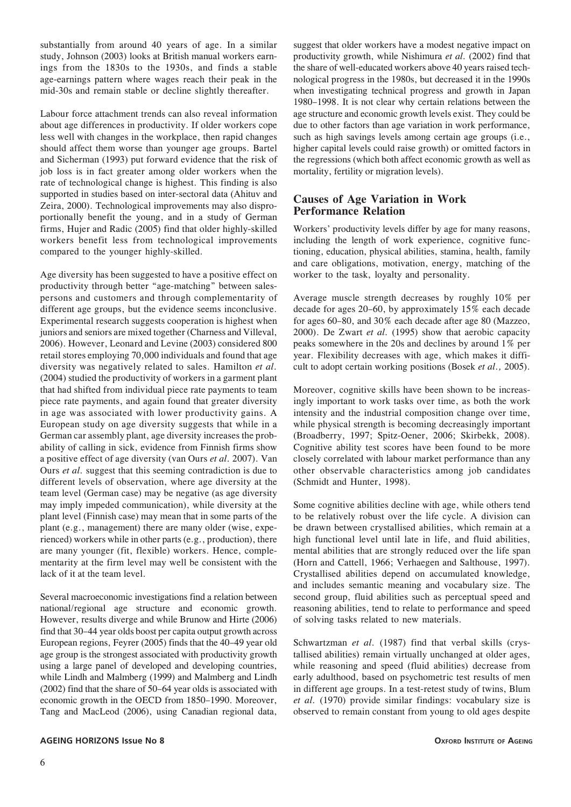substantially from around 40 years of age. In a similar study, Johnson (2003) looks at British manual workers earnings from the 1830s to the 1930s, and finds a stable age-earnings pattern where wages reach their peak in the mid-30s and remain stable or decline slightly thereafter.

Labour force attachment trends can also reveal information about age differences in productivity. If older workers cope less well with changes in the workplace, then rapid changes should affect them worse than younger age groups. Bartel and Sicherman (1993) put forward evidence that the risk of job loss is in fact greater among older workers when the rate of technological change is highest. This finding is also supported in studies based on inter-sectoral data (Ahituv and Zeira, 2000). Technological improvements may also disproportionally benefit the young, and in a study of German firms, Hujer and Radic (2005) find that older highly-skilled workers benefit less from technological improvements compared to the younger highly-skilled.

Age diversity has been suggested to have a positive effect on productivity through better "age-matching" between salespersons and customers and through complementarity of different age groups, but the evidence seems inconclusive. Experimental research suggests cooperation is highest when juniors and seniors are mixed together (Charness and Villeval, 2006). However, Leonard and Levine (2003) considered 800 retail stores employing 70,000 individuals and found that age diversity was negatively related to sales. Hamilton *et al.* (2004) studied the productivity of workers in a garment plant that had shifted from individual piece rate payments to team piece rate payments, and again found that greater diversity in age was associated with lower productivity gains. A European study on age diversity suggests that while in a German car assembly plant, age diversity increases the probability of calling in sick, evidence from Finnish firms show a positive effect of age diversity (van Ours *et al.* 2007). Van Ours *et al.* suggest that this seeming contradiction is due to different levels of observation, where age diversity at the team level (German case) may be negative (as age diversity may imply impeded communication), while diversity at the plant level (Finnish case) may mean that in some parts of the plant (e.g., management) there are many older (wise, experienced) workers while in other parts (e.g., production), there are many younger (fit, flexible) workers. Hence, complementarity at the firm level may well be consistent with the lack of it at the team level.

Several macroeconomic investigations find a relation between national/regional age structure and economic growth. However, results diverge and while Brunow and Hirte (2006) find that 30–44 year olds boost per capita output growth across European regions, Feyrer (2005) finds that the 40–49 year old age group is the strongest associated with productivity growth using a large panel of developed and developing countries, while Lindh and Malmberg (1999) and Malmberg and Lindh (2002) find that the share of 50–64 year olds is associated with economic growth in the OECD from 1850–1990. Moreover, Tang and MacLeod (2006), using Canadian regional data,

suggest that older workers have a modest negative impact on productivity growth, while Nishimura *et al.* (2002) find that the share of well-educated workers above 40 years raised technological progress in the 1980s, but decreased it in the 1990s when investigating technical progress and growth in Japan 1980–1998. It is not clear why certain relations between the age structure and economic growth levels exist. They could be due to other factors than age variation in work performance, such as high savings levels among certain age groups (i.e., higher capital levels could raise growth) or omitted factors in the regressions (which both affect economic growth as well as mortality, fertility or migration levels).

# **Causes of Age Variation in Work Performance Relation**

Workers' productivity levels differ by age for many reasons, including the length of work experience, cognitive functioning, education, physical abilities, stamina, health, family and care obligations, motivation, energy, matching of the worker to the task, loyalty and personality.

Average muscle strength decreases by roughly 10% per decade for ages 20–60, by approximately 15% each decade for ages 60–80, and 30% each decade after age 80 (Mazzeo, 2000). De Zwart *et al.* (1995) show that aerobic capacity peaks somewhere in the 20s and declines by around 1% per year. Flexibility decreases with age, which makes it difficult to adopt certain working positions (Bosek *et al.,* 2005).

Moreover, cognitive skills have been shown to be increasingly important to work tasks over time, as both the work intensity and the industrial composition change over time, while physical strength is becoming decreasingly important (Broadberry, 1997; Spitz-Oener, 2006; Skirbekk, 2008). Cognitive ability test scores have been found to be more closely correlated with labour market performance than any other observable characteristics among job candidates (Schmidt and Hunter, 1998).

Some cognitive abilities decline with age, while others tend to be relatively robust over the life cycle. A division can be drawn between crystallised abilities, which remain at a high functional level until late in life, and fluid abilities, mental abilities that are strongly reduced over the life span (Horn and Cattell, 1966; Verhaegen and Salthouse, 1997). Crystallised abilities depend on accumulated knowledge, and includes semantic meaning and vocabulary size. The second group, fluid abilities such as perceptual speed and reasoning abilities, tend to relate to performance and speed of solving tasks related to new materials.

Schwartzman *et al.* (1987) find that verbal skills (crystallised abilities) remain virtually unchanged at older ages, while reasoning and speed (fluid abilities) decrease from early adulthood, based on psychometric test results of men in different age groups. In a test-retest study of twins, Blum *et al.* (1970) provide similar findings: vocabulary size is observed to remain constant from young to old ages despite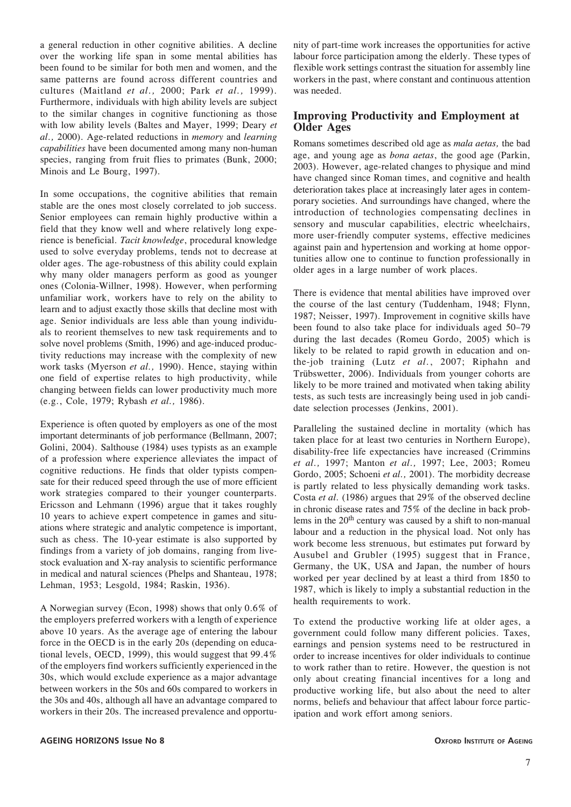a general reduction in other cognitive abilities. A decline over the working life span in some mental abilities has been found to be similar for both men and women, and the same patterns are found across different countries and cultures (Maitland *et al.,* 2000; Park *et al.,* 1999). Furthermore, individuals with high ability levels are subject to the similar changes in cognitive functioning as those with low ability levels (Baltes and Mayer, 1999; Deary *et al.,* 2000). Age-related reductions in *memory* and *learning capabilities* have been documented among many non-human species, ranging from fruit flies to primates (Bunk, 2000; Minois and Le Bourg, 1997).

In some occupations, the cognitive abilities that remain stable are the ones most closely correlated to job success. Senior employees can remain highly productive within a field that they know well and where relatively long experience is beneficial. *Tacit knowledge*, procedural knowledge used to solve everyday problems, tends not to decrease at older ages. The age-robustness of this ability could explain why many older managers perform as good as younger ones (Colonia-Willner, 1998). However, when performing unfamiliar work, workers have to rely on the ability to learn and to adjust exactly those skills that decline most with age. Senior individuals are less able than young individuals to reorient themselves to new task requirements and to solve novel problems (Smith, 1996) and age-induced productivity reductions may increase with the complexity of new work tasks (Myerson *et al.,* 1990). Hence, staying within one field of expertise relates to high productivity, while changing between fields can lower productivity much more (e.g., Cole, 1979; Rybash *et al.,* 1986).

Experience is often quoted by employers as one of the most important determinants of job performance (Bellmann, 2007; Golini, 2004). Salthouse (1984) uses typists as an example of a profession where experience alleviates the impact of cognitive reductions. He finds that older typists compensate for their reduced speed through the use of more efficient work strategies compared to their younger counterparts. Ericsson and Lehmann (1996) argue that it takes roughly 10 years to achieve expert competence in games and situations where strategic and analytic competence is important, such as chess. The 10-year estimate is also supported by findings from a variety of job domains, ranging from livestock evaluation and X-ray analysis to scientific performance in medical and natural sciences (Phelps and Shanteau, 1978; Lehman, 1953; Lesgold, 1984; Raskin, 1936).

A Norwegian survey (Econ, 1998) shows that only 0.6% of the employers preferred workers with a length of experience above 10 years. As the average age of entering the labour force in the OECD is in the early 20s (depending on educational levels, OECD, 1999), this would suggest that 99.4% of the employers find workers sufficiently experienced in the 30s, which would exclude experience as a major advantage between workers in the 50s and 60s compared to workers in the 30s and 40s, although all have an advantage compared to workers in their 20s. The increased prevalence and opportunity of part-time work increases the opportunities for active labour force participation among the elderly. These types of flexible work settings contrast the situation for assembly line workers in the past, where constant and continuous attention was needed.

# **Improving Productivity and Employment at Older Ages**

Romans sometimes described old age as *mala aetas,* the bad age, and young age as *bona aetas*, the good age (Parkin, 2003). However, age-related changes to physique and mind have changed since Roman times, and cognitive and health deterioration takes place at increasingly later ages in contemporary societies. And surroundings have changed, where the introduction of technologies compensating declines in sensory and muscular capabilities, electric wheelchairs, more user-friendly computer systems, effective medicines against pain and hypertension and working at home opportunities allow one to continue to function professionally in older ages in a large number of work places.

There is evidence that mental abilities have improved over the course of the last century (Tuddenham, 1948; Flynn, 1987; Neisser, 1997). Improvement in cognitive skills have been found to also take place for individuals aged 50–79 during the last decades (Romeu Gordo, 2005) which is likely to be related to rapid growth in education and onthe-job training (Lutz *et al.*, 2007; Riphahn and Trübswetter, 2006). Individuals from younger cohorts are likely to be more trained and motivated when taking ability tests, as such tests are increasingly being used in job candidate selection processes (Jenkins, 2001).

Paralleling the sustained decline in mortality (which has taken place for at least two centuries in Northern Europe), disability-free life expectancies have increased (Crimmins *et al.,* 1997; Manton *et al.,* 1997; Lee, 2003; Romeu Gordo, 2005; Schoeni *et al.,* 2001). The morbidity decrease is partly related to less physically demanding work tasks. Costa *et al.* (1986) argues that 29% of the observed decline in chronic disease rates and 75% of the decline in back problems in the 20<sup>th</sup> century was caused by a shift to non-manual labour and a reduction in the physical load. Not only has work become less strenuous, but estimates put forward by Ausubel and Grubler (1995) suggest that in France, Germany, the UK, USA and Japan, the number of hours worked per year declined by at least a third from 1850 to 1987, which is likely to imply a substantial reduction in the health requirements to work.

To extend the productive working life at older ages, a government could follow many different policies. Taxes, earnings and pension systems need to be restructured in order to increase incentives for older individuals to continue to work rather than to retire. However, the question is not only about creating financial incentives for a long and productive working life, but also about the need to alter norms, beliefs and behaviour that affect labour force participation and work effort among seniors.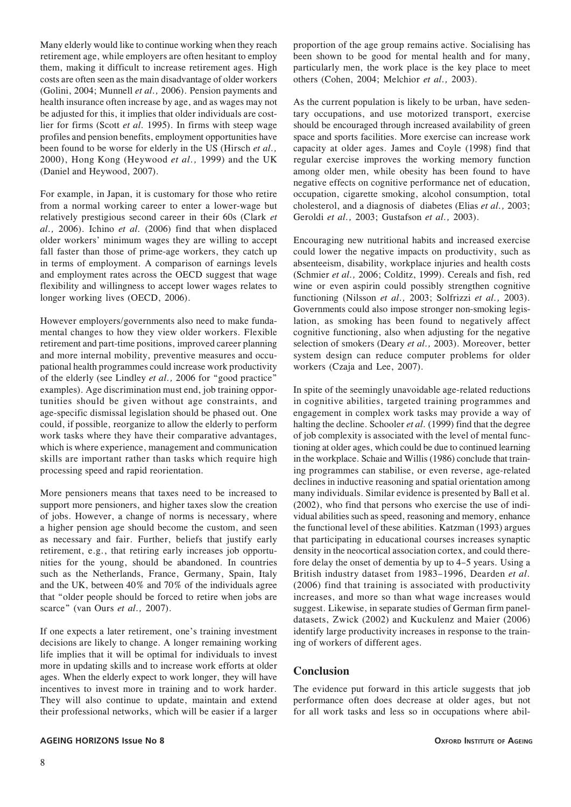Many elderly would like to continue working when they reach retirement age, while employers are often hesitant to employ them, making it difficult to increase retirement ages. High costs are often seen as the main disadvantage of older workers (Golini, 2004; Munnell *et al.,* 2006). Pension payments and health insurance often increase by age, and as wages may not be adjusted for this, it implies that older individuals are costlier for firms (Scott *et al.* 1995). In firms with steep wage profiles and pension benefits, employment opportunities have been found to be worse for elderly in the US (Hirsch *et al.,* 2000), Hong Kong (Heywood *et al.,* 1999) and the UK (Daniel and Heywood, 2007).

For example, in Japan, it is customary for those who retire from a normal working career to enter a lower-wage but relatively prestigious second career in their 60s (Clark *et al.,* 2006). Ichino *et al.* (2006) find that when displaced older workers' minimum wages they are willing to accept fall faster than those of prime-age workers, they catch up in terms of employment. A comparison of earnings levels and employment rates across the OECD suggest that wage flexibility and willingness to accept lower wages relates to longer working lives (OECD, 2006).

However employers/governments also need to make fundamental changes to how they view older workers. Flexible retirement and part-time positions, improved career planning and more internal mobility, preventive measures and occupational health programmes could increase work productivity of the elderly (see Lindley *et al.,* 2006 for "good practice" examples). Age discrimination must end, job training opportunities should be given without age constraints, and age-specific dismissal legislation should be phased out. One could, if possible, reorganize to allow the elderly to perform work tasks where they have their comparative advantages, which is where experience, management and communication skills are important rather than tasks which require high processing speed and rapid reorientation.

More pensioners means that taxes need to be increased to support more pensioners, and higher taxes slow the creation of jobs. However, a change of norms is necessary, where a higher pension age should become the custom, and seen as necessary and fair. Further, beliefs that justify early retirement, e.g., that retiring early increases job opportunities for the young, should be abandoned. In countries such as the Netherlands, France, Germany, Spain, Italy and the UK, between 40% and 70% of the individuals agree that "older people should be forced to retire when jobs are scarce" (van Ours *et al.,* 2007).

If one expects a later retirement, one's training investment decisions are likely to change. A longer remaining working life implies that it will be optimal for individuals to invest more in updating skills and to increase work efforts at older ages. When the elderly expect to work longer, they will have incentives to invest more in training and to work harder. They will also continue to update, maintain and extend their professional networks, which will be easier if a larger proportion of the age group remains active. Socialising has been shown to be good for mental health and for many, particularly men, the work place is the key place to meet others (Cohen, 2004; Melchior *et al.,* 2003).

As the current population is likely to be urban, have sedentary occupations, and use motorized transport, exercise should be encouraged through increased availability of green space and sports facilities. More exercise can increase work capacity at older ages. James and Coyle (1998) find that regular exercise improves the working memory function among older men, while obesity has been found to have negative effects on cognitive performance net of education, occupation, cigarette smoking, alcohol consumption, total cholesterol, and a diagnosis of diabetes (Elias *et al.,* 2003; Geroldi *et al.,* 2003; Gustafson *et al.,* 2003).

Encouraging new nutritional habits and increased exercise could lower the negative impacts on productivity, such as absenteeism, disability, workplace injuries and health costs (Schmier *et al.,* 2006; Colditz, 1999). Cereals and fish, red wine or even aspirin could possibly strengthen cognitive functioning (Nilsson *et al.,* 2003; Solfrizzi *et al.,* 2003). Governments could also impose stronger non-smoking legislation, as smoking has been found to negatively affect cognitive functioning, also when adjusting for the negative selection of smokers (Deary *et al.,* 2003). Moreover, better system design can reduce computer problems for older workers (Czaja and Lee, 2007).

In spite of the seemingly unavoidable age-related reductions in cognitive abilities, targeted training programmes and engagement in complex work tasks may provide a way of halting the decline. Schooler *et al.* (1999) find that the degree of job complexity is associated with the level of mental functioning at older ages, which could be due to continued learning in the workplace. Schaie and Willis (1986) conclude that training programmes can stabilise, or even reverse, age-related declines in inductive reasoning and spatial orientation among many individuals. Similar evidence is presented by Ball et al. (2002), who find that persons who exercise the use of individual abilities such as speed, reasoning and memory, enhance the functional level of these abilities. Katzman (1993) argues that participating in educational courses increases synaptic density in the neocortical association cortex, and could therefore delay the onset of dementia by up to 4–5 years. Using a British industry dataset from 1983–1996, Dearden *et al.* (2006) find that training is associated with productivity increases, and more so than what wage increases would suggest. Likewise, in separate studies of German firm paneldatasets, Zwick (2002) and Kuckulenz and Maier (2006) identify large productivity increases in response to the training of workers of different ages.

# **Conclusion**

The evidence put forward in this article suggests that job performance often does decrease at older ages, but not for all work tasks and less so in occupations where abil-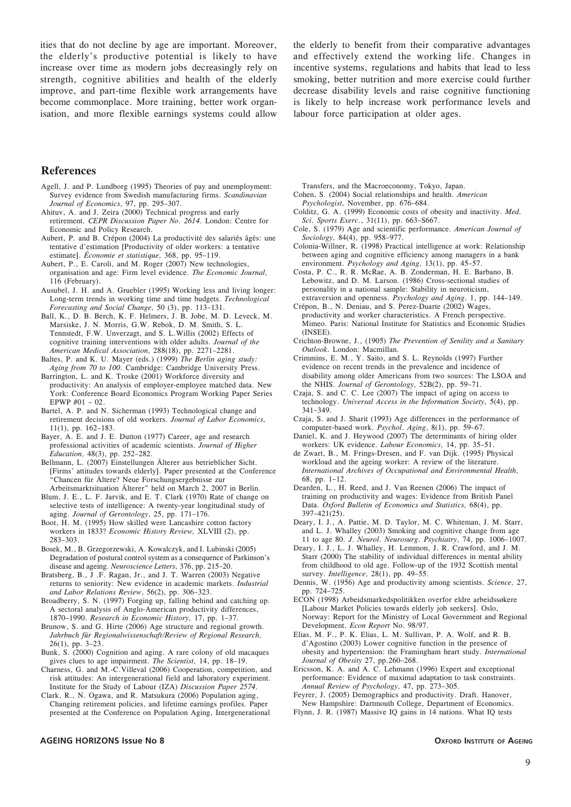ities that do not decline by age are important. Moreover, the elderly's productive potential is likely to have increase over time as modern jobs decreasingly rely on strength, cognitive abilities and health of the elderly improve, and part-time flexible work arrangements have become commonplace. More training, better work organisation, and more flexible earnings systems could allow the elderly to benefit from their comparative advantages and effectively extend the working life. Changes in incentive systems, regulations and habits that lead to less smoking, better nutrition and more exercise could further decrease disability levels and raise cognitive functioning is likely to help increase work performance levels and labour force participation at older ages.

#### **References**

- Agell, J. and P. Lundborg (1995) Theories of pay and unemployment: Survey evidence from Swedish manufacturing firms. *Scandinavian Journal of Economics,* 97, pp. 295–307.
- Ahituv, A. and J. Zeira (2000) Technical progress and early retirement. *CEPR Discussion Paper No. 2614*. London: Centre for Economic and Policy Research.
- Aubert, P. and B. Crépon (2004) La productivité des salariés âgés: une tentative d'estimation [Productivity of older workers: a tentative estimate]. *Économie et statistique,* 368, pp. 95–119.
- Aubert, P., E. Caroli, and M. Roger (2007) New technologies, organisation and age: Firm level evidence. *The Economic Journal,* 116 (February).
- Ausubel, J. H. and A. Gruebler (1995) Working less and living longer: Long-term trends in working time and time budgets. *Technological Forecasting and Social Change,* 50 (3), pp. 113–131.
- Ball, K., D. B. Berch, K. F. Helmers, J. B. Jobe, M. D. Leveck, M. Marsiske, J. N. Morris, G.W. Rebok, D. M. Smith, S. L. Tennstedt, F.W. Unverzagt, and S. L.Willis (2002) Effects of cognitive training interventions with older adults. *Journal of the American Medical Association,* 288(18), pp. 2271–2281.
- Baltes, P. and K. U. Mayer (eds.) (1999) *The Berlin aging study: Aging from 70 to 100*. Cambridge: Cambridge University Press.
- Barrington, L. and K. Troske (2001) Workforce diversity and productivity: An analysis of employer-employee matched data. New York: Conference Board Economics Program Working Paper Series EPWP  $#01 - 02$ .
- Bartel, A. P. and N. Sicherman (1993) Technological change and retirement decisions of old workers. *Journal of Labor Economics,* 11(1), pp. 162–183.
- Bayer, A. E. and J. E. Dutton (1977) Career, age and research professional activities of academic scientists. *Journal of Higher Education,* 48(3), pp. 252–282.
- Bellmann, L. (2007) Einstellungen Älterer aus betrieblicher Sicht. [Firms' attitudes towards elderly]. Paper presented at the Conference "Chancen für Ältere? Neue Forschungsergebnisse zur Arbeitsmarktsituation Älterer" held on March 2, 2007 in Berlin.
- Blum, J. E., L. F. Jarvik, and E. T. Clark (1970) Rate of change on selective tests of intelligence: A twenty-year longitudinal study of
- aging. *Journal of Gerontology,* 25, pp. 171–176. Boot. H. M. (1995) How skilled were Lancashire cotton factory workers in 1833? *Economic History Review,* XLVIII (2), pp. 283–303.
- Bosek, M., B. Grzegorzewski, A. Kowalczyk, and I. Lubinski (2005) Degradation of postural control system as a consequence of Parkinson's disease and ageing. *Neuroscience Letters,* 376, pp. 215–20.
- Bratsberg, B., J .F. Ragan, Jr., and J. T. Warren (2003) Negative returns to seniority: New evidence in academic markets. *Industrial and Labor Relations Review*, 56(2), pp. 306–323.
- Broadberry, S. N. (1997) Forging up, falling behind and catching up. A sectoral analysis of Anglo-American productivity differences, 1870–1990. *Research in Economic History,* 17, pp. 1–37.
- Brunow, S. and G. Hirte (2006) Age structure and regional growth. *Jahrbuch für Regionalwissenschaft/Review of Regional Research,* 26(1), pp. 3–23.
- Bunk, S. (2000) Cognition and aging. A rare colony of old macaques gives clues to age impairment. *The Scientist,* 14, pp. 18–19.
- Charness, G. and M.-C.Villeval (2006) Cooperation, competition, and risk attitudes: An intergenerational field and laboratory experiment. Institute for the Study of Labour (IZA) *Discussion Paper 2574*.
- Clark, R., N. Ogawa, and R. Matsukura (2006) Population aging, Changing retirement policies, and lifetime earnings profiles. Paper presented at the Conference on Population Aging, Intergenerational

Transfers, and the Macroeconomy, Tokyo, Japan.

- Cohen, S. (2004) Social relationships and health. *American Psychologist,* November, pp. 676–684.
- Colditz, G. A. (1999) Economic costs of obesity and inactivity. *Med. Sci. Sports Exerc*., 31(11), pp. 663–S667.
- Cole, S. (1979) Age and scientific performance. *American Journal of Sociology,* 84(4), pp. 958–977.
- Colonia-Willner, R. (1998) Practical intelligence at work: Relationship between aging and cognitive efficiency among managers in a bank environment. *Psychology and Aging,* 13(1), pp. 45–57.
- Costa, P. C., R. R. McRae, A. B. Zonderman, H. E. Barbano, B. Lebowitz, and D. M. Larson. (1986) Cross-sectional studies of personality in a national sample: Stability in neuroticism, extraversion and openness. *Psychology and Aging,* 1, pp. 144–149.
- Crépon, B., N. Deniau, and S. Perez-Duarte (2002) Wages, productivity and worker characteristics. A French perspective. Mimeo. Paris: National Institute for Statistics and Economic Studies (INSEE).
- Crichton-Browne, J., (1905) *The Prevention of Senility and a Sanitary Outlook.* London: Macmillan.
- Crimmins, E. M., Y. Saito, and S. L. Reynolds (1997) Further evidence on recent trends in the prevalence and incidence of disability among older Americans from two sources: The LSOA and the NHIS. *Journal of Gerontology,* 52B(2), pp. 59–71.
- Czaja, S. and C. C. Lee (2007) The impact of aging on access to technology. *Universal Access in the Information Society,* 5(4), pp. 341–349.
- Czaja, S. and J. Sharit (1993) Age differences in the performance of computer-based work. *Psychol. Aging*, 8(1), pp. 59–67.
- Daniel, K. and J. Heywood (2007) The determinants of hiring older workers: UK evidence. *Labour Economics,* 14, pp. 35–51.
- de Zwart, B., M. Frings-Dresen, and F. van Dijk. (1995) Physical workload and the ageing worker: A review of the literature. *International Archives of Occupational and Environmental Health,* 68, pp. 1–12.
- Dearden, L., H. Reed, and J. Van Reenen (2006) The impact of training on productivity and wages: Evidence from British Panel Data. *Oxford Bulletin of Economics and Statistics,* 68(4), pp. 397–421(25).
- Deary, I. J., A. Pattie, M. D. Taylor, M. C. Whiteman, J. M. Starr, and L. J. Whalley (2003) Smoking and cognitive change from age 11 to age 80. *J. Neurol. Neurosurg. Psychiatry,* 74, pp. 1006–1007.
- Deary, I. J., L. J. Whalley, H. Lemmon, J. R. Crawford, and J. M. Starr (2000) The stability of individual differences in mental ability from childhood to old age. Follow-up of the 1932 Scottish mental survey. *Intelligence,* 28(1), pp. 49–55.
- Dennis, W. (1956) Age and productivity among scientists. *Science,* 27, pp. 724–725.
- ECON (1998) Arbeidsmarkedspolitikken overfor eldre arbeidssøkere [Labour Market Policies towards elderly job seekers]. Oslo, Norway: Report for the Ministry of Local Government and Regional Development. *Econ Report* No. 98/97.
- Elias, M. F., P. K. Elias, L. M. Sullivan, P. A. Wolf, and R. B. d'Agostino (2003) Lower cognitive function in the presence of obesity and hypertension: the Framingham heart study. *International Journal of Obesity* 27, pp.260–268.
- Ericsson, K. A. and A. C. Lehmann (1996) Expert and exceptional performance: Evidence of maximal adaptation to task constraints. *Annual Review of Psychology,* 47, pp. 273–305.
- Feyrer, J. (2005) Demographics and productivity. Draft. Hanover, New Hampshire: Dartmouth College, Department of Economics.
- Flynn, J. R. (1987) Massive IQ gains in 14 nations. What IQ tests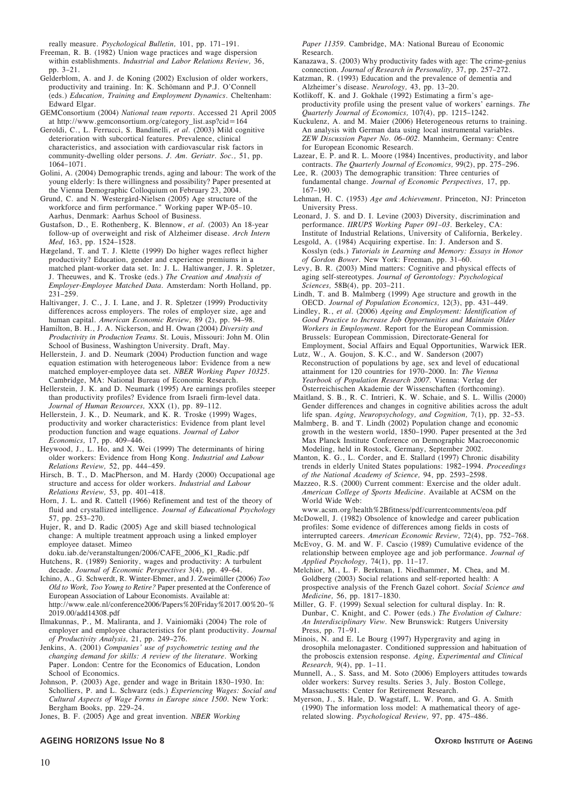really measure. *Psychological Bulletin,* 101, pp. 171–191.

- Freeman, R. B. (1982) Union wage practices and wage dispersion within establishments. *Industrial and Labor Relations Review,* 36, pp. 3–21.
- Gelderblom, A. and J. de Koning (2002) Exclusion of older workers, productivity and training. In: K. Schömann and P.J. O'Connell (eds.) *Education, Training and Employment Dynamics*. Cheltenham: Edward Elgar.
- GEMConsortium (2004) *National team reports*. Accessed 21 April 2005 at http://www.gemconsortium.org/category\_list.asp?cid=164
- Geroldi, C., L. Ferrucci, S. Bandinelli, *et al.* (2003) Mild cognitive deterioration with subcortical features. Prevalence, clinical characteristics, and association with cardiovascular risk factors in community-dwelling older persons. *J. Am. Geriatr. Soc.,* 51, pp. 1064–1071.
- Golini, A. (2004) Demographic trends, aging and labour: The work of the young elderly: Is there willingness and possibility? Paper presented at the Vienna Demographic Colloquium on February 23, 2004.
- Grund, C. and N. Westergård-Nielsen (2005) Age structure of the workforce and firm performance." Working paper WP-05–10. Aarhus, Denmark: Aarhus School of Business.
- Gustafson, D., E. Rothenberg, K. Blennow, *et al.* (2003) An 18-year follow-up of overweight and risk of Alzheimer disease. *Arch Intern Med,* 163, pp. 1524–1528.
- Hægeland, T. and T. J. Klette (1999) Do higher wages reflect higher productivity? Education, gender and experience premiums in a matched plant-worker data set. In: J. L. Haltiwanger, J. R. Spletzer, J. Theeuwes, and K. Troske (eds.) *The Creation and Analysis of Employer-Employee Matched Data.* Amsterdam: North Holland, pp. 231–259.
- Haltivanger, J. C., J. I. Lane, and J. R. Spletzer (1999) Productivity differences across employers. The roles of employer size, age and human capital. *American Economic Review,* 89 (2), pp. 94–98.
- Hamilton, B. H., J. A. Nickerson, and H. Owan (2004) *Diversity and Productivity in Production Teams.* St. Louis, Missouri: John M. Olin School of Business, Washington University. Draft, May.
- Hellerstein, J. and D. Neumark (2004) Production function and wage equation estimation with heterogeneous labor: Evidence from a new matched employer-employee data set. *NBER Working Paper 10325*. Cambridge, MA: National Bureau of Economic Research.
- Hellerstein, J. K. and D. Neumark (1995) Are earnings profiles steeper than productivity profiles? Evidence from Israeli firm-level data. *Journal of Human Resources,* XXX (1), pp. 89–112.
- Hellerstein, J. K., D. Neumark, and K. R. Troske (1999) Wages, productivity and worker characteristics: Evidence from plant level production function and wage equations. *Journal of Labor Economics,* 17, pp. 409–446.
- Heywood, J., L. Ho, and X. Wei (1999) The determinants of hiring older workers: Evidence from Hong Kong. *Industrial and Labour Relations Review,* 52, pp. 444–459.
- Hirsch, B. T., D. MacPherson, and M. Hardy (2000) Occupational age structure and access for older workers. *Industrial and Labour Relations Review,* 53, pp. 401–418.
- Horn, J. L. and R. Cattell (1966) Refinement and test of the theory of fluid and crystallized intelligence. *Journal of Educational Psychology* 57, pp. 253–270.
- Hujer, R, and D. Radic (2005) Age and skill biased technological change: A multiple treatment approach using a linked employer employee dataset. Mimeo
- doku.iab.de/veranstaltungen/2006/CAFE\_2006\_K1\_Radic.pdf Hutchens, R. (1989) Seniority, wages and productivity: A turbulent decade. *Journal of Economic Perspectives* 3(4), pp. 49–64.
- Ichino, A., G. Schwerdt, R. Winter-Ebmer, and J. Zweimüller (2006) *Too Old to Work, Too Young to Retire?* Paper presented at the Conference of European Association of Labour Economists. Available at: http://www.eale.nl/conference2006/Papers%20Friday%2017.00%20–% 2019.00/add14308.pdf
- Ilmakunnas, P., M. Maliranta, and J. Vainiomäki (2004) The role of employer and employee characteristics for plant productivity. *Journal of Productivity Analysis,* 21, pp. 249–276.
- Jenkins, A. (2001) *Companies' use of psychometric testing and the changing demand for skills: A review of the literature*. Working Paper. London: Centre for the Economics of Education, London School of Economics.
- Johnson, P. (2003) Age, gender and wage in Britain 1830–1930. In: Scholliers, P. and L. Schwarz (eds.) *Experiencing Wages: Social and Cultural Aspects of Wage Forms in Europe since 1500*. New York: Bergham Books, pp. 229–24.
- Jones, B. F. (2005) Age and great invention. *NBER Working*

# **AGEING HORIZONS Issue No 8 OXFORD INSTITUTE OF AGEING**

*Paper 11359*. Cambridge, MA: National Bureau of Economic Research.

- Kanazawa, S. (2003) Why productivity fades with age: The crime-genius connection. *Journal of Research in Personality,* 37, pp. 257–272.
- Katzman, R. (1993) Education and the prevalence of dementia and Alzheimer's disease. *Neurology,* 43, pp. 13–20.
- Kotlikoff, K. and J. Gokhale (1992) Estimating a firm's ageproductivity profile using the present value of workers' earnings. *The Quarterly Journal of Economics,* 107(4), pp. 1215–1242.
- Kuckulenz, A. and M. Maier (2006) Heterogeneous returns to training. An analysis with German data using local instrumental variables. *ZEW Discussion Paper No. 06–002*. Mannheim, Germany: Centre for European Economic Research.
- Lazear, E. P. and R. L. Moore (1984) Incentives, productivity, and labor contracts. *The Quarterly Journal of Economics,* 99(2), pp. 275–296.
- Lee, R. (2003) The demographic transition: Three centuries of fundamental change. *Journal of Economic Perspectives,* 17, pp. 167–190.
- Lehman, H. C. (1953) *Age and Achievement*. Princeton, NJ: Princeton University Press.
- Leonard, J. S. and D. I. Levine (2003) Diversity, discrimination and performance. *IIRUPS Working Paper 091–03*. Berkeley, CA: Institute of Industrial Relations, University of California, Berkeley.
- Lesgold, A. (1984) Acquiring expertise. In: J. Anderson and S. Kosslyn (eds.) *Tutorials in Learning and Memory: Essays in Honor*
- *of Gordon Bower*. New York: Freeman, pp. 31–60. Levy, B. R. (2003) Mind matters: Cognitive and physical effects of aging self-stereotypes. *Journal of Gerontology: Psychological Sciences,* 58B(4), pp. 203–211.
- Lindh, T. and B. Malmberg (1999) Age structure and growth in the OECD. *Journal of Population Economics,* 12(3), pp. 431–449.
- Lindley, R., *et al.* (2006) *Ageing and Employment: Identification of Good Practice to Increase Job Opportunities and Maintain Older Workers in Employment.* Report for the European Commission. Brussels: European Commission, Directorate-General for Employment, Social Affairs and Equal Opportunities, Warwick IER.
- Lutz, W., A. Goujon, S. K.C., and W. Sanderson (2007) Reconstruction of populations by age, sex and level of educational attainment for 120 countries for 1970–2000. In: *The Vienna Yearbook of Population Research 2007*. Vienna: Verlag der Österreichischen Akademie der Wissenschaften (forthcoming).
- Maitland, S. B., R. C. Intrieri, K. W. Schaie, and S. L. Willis (2000) Gender differences and changes in cognitive abilities across the adult life span. *Aging, Neuropsychology, and Cognition,* 7(1), pp. 32–53.
- Malmberg, B. and T. Lindh (2002) Population change and economic growth in the western world, 1850–1990. Paper presented at the 3rd Max Planck Institute Conference on Demographic Macroeconomic Modeling, held in Rostock, Germany, September 2002.
- Manton, K. G., L. Corder, and E. Stallard (1997) Chronic disability trends in elderly United States populations: 1982–1994. *Proceedings of the National Academy of Science,* 94, pp. 2593–2598.
- Mazzeo, R.S. (2000) Current comment: Exercise and the older adult. *American College of Sports Medicine*. Available at ACSM on the World Wide Web:
- www.acsm.org/health%2Bfitness/pdf/currentcomments/eoa.pdf McDowell, J. (1982) Obsolence of knowledge and career publication profiles: Some evidence of differences among fields in costs of interrupted careers. *American Economic Review,* 72(4), pp. 752–768.
- McEvoy, G. M. and W. F. Cascio (1989) Cumulative evidence of the relationship between employee age and job performance. *Journal of Applied Psychology,* 74(1), pp. 11–17.
- Melchior, M., L. F. Berkman, I. Niedhammer, M. Chea, and M. Goldberg (2003) Social relations and self-reported health: A prospective analysis of the French Gazel cohort. *Social Science and Medicine,* 56, pp. 1817–1830.
- Miller, G. F. (1999) Sexual selection for cultural display. In: R. Dunbar, C. Knight, and C. Power (eds.) *The Evolution of Culture: An Interdisciplinary View*. New Brunswick: Rutgers University Press, pp. 71–91.
- Minois, N. and E. Le Bourg (1997) Hypergravity and aging in drosophila melonagaster. Conditioned suppression and habituation of the proboscis extension response. *Aging, Experimental and Clinical Research,* 9(4), pp. 1–11.
- Munnell, A., S. Sass, and M. Soto (2006) Employers attitudes towards older workers: Survey results. Series 3, July. Boston College, Massachusetts: Center for Retirement Research.
- Myerson, J., S. Hale, D. Wagstaff, L. W. Ponn, and G. A. Smith (1990) The information loss model: A mathematical theory of agerelated slowing. *Psychological Review,* 97, pp. 475–486.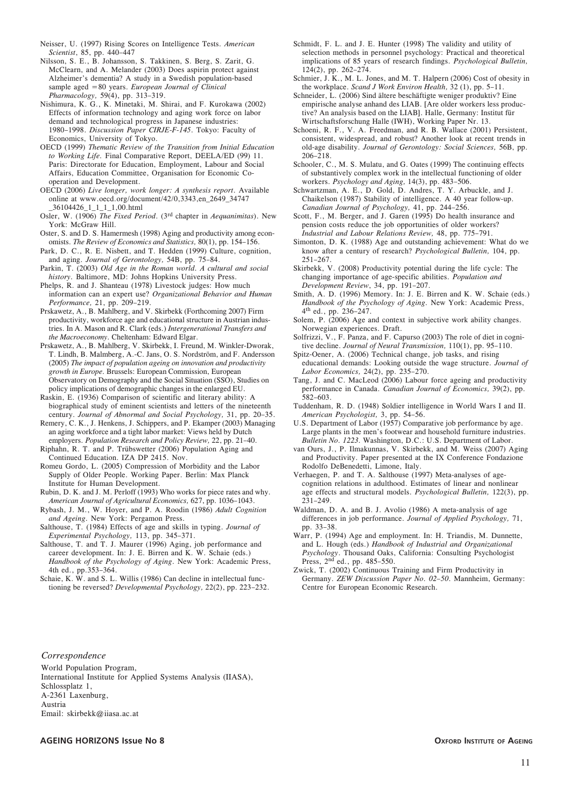Neisser, U. (1997) Rising Scores on Intelligence Tests. *American Scientist*, 85, pp. 440–447

Nilsson, S. E., B. Johansson, S. Takkinen, S. Berg, S. Zarit, G. McClearn, and A. Melander (2003) Does aspirin protect against Alzheimer's dementia? A study in a Swedish population-based sample aged =80 years. *European Journal of Clinical Pharmacology,* 59(4), pp. 313–319.

Nishimura, K. G., K. Minetaki, M. Shirai, and F. Kurokawa (2002) Effects of information technology and aging work force on labor demand and technological progress in Japanese industries: 1980–1998. *Discussion Paper CIRJE-F-145*. Tokyo: Faculty of Economics, University of Tokyo.

OECD (1999) *Thematic Review of the Transition from Initial Education to Working Life.* Final Comparative Report, DEELA/ED (99) 11. Paris: Directorate for Education, Employment, Labour and Social Affairs, Education Committee, Organisation for Economic Cooperation and Development.

OECD (2006) *Live longer, work longer: A synthesis report*. Available online at www.oecd.org/document/42/0,3343,en\_2649\_34747 \_36104426\_1\_1\_1\_1,00.html

Osler, W. (1906) *The Fixed Period*. (3rd chapter in *Aequanimitas*). New York: McGraw Hill.

Oster, S. and D. S. Hamermesh (1998) Aging and productivity among economists. *The Review of Economics and Statistics,* 80(1), pp. 154–156.

Park, D. C., R. E. Nisbett, and T. Hedden (1999) Culture, cognition, and aging. *Journal of Gerontology,* 54B, pp. 75–84.

Parkin, T. (2003) *Old Age in the Roman world. A cultural and social history.* Baltimore, MD: Johns Hopkins University Press.

Phelps, R. and J. Shanteau (1978) Livestock judges: How much information can an expert use? *Organizational Behavior and Human Performance,* 21, pp. 209–219.

Prskawetz, A., B. Mahlberg, and V. Skirbekk (Forthcoming 2007) Firm productivity, workforce age and educational structure in Austrian industries. In A. Mason and R. Clark (eds.) *Intergenerational Transfers and the Macroeconomy.* Cheltenham: Edward Elgar.

Prskawetz, A., B. Mahlberg, V. Skirbekk, I. Freund, M. Winkler-Dworak, T. Lindh, B. Malmberg, A.-C. Jans, O. S. Nordström, and F. Andersson (2005) *The impact of population ageing on innovation and productivity growth in Europe.* Brussels: European Commission, European Observatory on Demography and the Social Situation (SSO), Studies on policy implications of demographic changes in the enlarged EU.

Raskin, E. (1936) Comparison of scientific and literary ability: A biographical study of eminent scientists and letters of the nineteenth century. *Journal of Abnormal and Social Psychology,* 31, pp. 20–35.

Remery, C. K., J. Henkens, J. Schippers, and P. Ekamper (2003) Managing an aging workforce and a tight labor market: Views held by Dutch employers. *Population Research and Policy Review,* 22, pp. 21–40.

Riphahn, R. T. and P. Trübswetter (2006) Population Aging and Continued Education. IZA DP 2415. Nov.

Romeu Gordo, L. (2005) Compression of Morbidity and the Labor Supply of Older People. Working Paper. Berlin: Max Planck Institute for Human Development.

Rubin, D. K. and J. M. Perloff (1993) Who works for piece rates and why. *American Journal of Agricultural Economics,* 627, pp. 1036–1043.

Rybash, J. M., W. Hoyer, and P. A. Roodin (1986) *Adult Cognition and Ageing.* New York: Pergamon Press.

Salthouse, T. (1984) Effects of age and skills in typing. *Journal of Experimental Psychology,* 113, pp. 345–371.

Salthouse, T. and T. J. Maurer (1996) Aging, job performance and career development. In: J. E. Birren and K. W. Schaie (eds.) *Handbook of the Psychology of Aging*. New York: Academic Press, 4th ed., pp.353–364.

Schaie, K. W. and S. L. Willis (1986) Can decline in intellectual functioning be reversed? *Developmental Psychology,* 22(2), pp. 223–232. Schmidt, F. L. and J. E. Hunter (1998) The validity and utility of selection methods in personnel psychology: Practical and theoretical implications of 85 years of research findings. *Psychological Bulletin,* 124(2), pp. 262–274.

Schmier, J. K., M. L. Jones, and M. T. Halpern (2006) Cost of obesity in the workplace. *Scand J Work Environ Health,* 32 (1), pp. 5–11.

Schneider, L. (2006) Sind ältere beschäftigte weniger produktiv? Eine empirische analyse anhand des LIAB. [Are older workers less productive? An analysis based on the LIAB]. Halle, Germany: Institut für Wirtschaftsforschung Halle (IWH), Working Paper Nr. 13.

Schoeni, R. F., V. A. Freedman, and R. B. Wallace (2001) Persistent, consistent, widespread, and robust? Another look at recent trends in old-age disability. *Journal of Gerontology: Social Sciences,* 56B, pp. 206–218.

Schooler, C., M. S. Mulatu, and G. Oates (1999) The continuing effects of substantively complex work in the intellectual functioning of older workers. *Psychology and Aging,* 14(3), pp. 483–506.

Schwartzman, A. E., D. Gold, D. Andres, T. Y. Arbuckle, and J. Chaikelson (1987) Stability of intelligence. A 40 year follow-up. *Canadian Journal of Psychology,* 41, pp. 244–256.

Scott, F., M. Berger, and J. Garen (1995) Do health insurance and pension costs reduce the job opportunities of older workers? *Industrial and Labour Relations Review,* 48, pp. 775–791.

Simonton, D. K. (1988) Age and outstanding achievement: What do we know after a century of research? *Psychological Bulletin,* 104, pp. 251–267.

Skirbekk, V. (2008) Productivity potential during the life cycle: The changing importance of age-specific abilities. *Population and Development Review*, 34, pp. 191–207.

Smith, A. D. (1996) Memory. In: J. E. Birren and K. W. Schaie (eds.) *Handbook of the Psychology of Aging.* New York: Academic Press, 4th ed., pp. 236–247.

Solem, P. (2006) Age and context in subjective work ability changes. Norwegian experiences. Draft.

Solfrizzi, V., F. Panza, and F. Capurso (2003) The role of diet in cognitive decline. *Journal of Neural Transmission,* 110(1), pp. 95–110.

Spitz-Oener, A. (2006) Technical change, job tasks, and rising educational demands: Looking outside the wage structure. *Journal of Labor Economics,* 24(2), pp. 235–270.

Tang, J. and C. MacLeod (2006) Labour force ageing and productivity performance in Canada. *Canadian Journal of Economics,* 39(2), pp. 582–603.

Tuddenham, R. D. (1948) Soldier intelligence in World Wars I and II. *American Psychologist,* 3, pp. 54–56.

U.S. Department of Labor (1957) Comparative job performance by age. Large plants in the men's footwear and household furniture industries. *Bulletin No. 1223.* Washington, D.C.: U.S. Department of Labor.

van Ours, J., P. Ilmakunnas, V. Skirbekk, and M. Weiss (2007) Aging and Productivity. Paper presented at the IX Conference Fondazione Rodolfo DeBenedetti, Limone, Italy.

Verhaegen, P. and T. A. Salthouse (1997) Meta-analyses of agecognition relations in adulthood. Estimates of linear and nonlinear age effects and structural models. *Psychological Bulletin,* 122(3), pp. 231–249.

Waldman, D. A. and B. J. Avolio (1986) A meta-analysis of age differences in job performance. *Journal of Applied Psychology,* 71, pp. 33–38.

Warr, P. (1994) Age and employment. In: H. Triandis, M. Dunnette, and L. Hough (eds.) *Handbook of Industrial and Organizational* Psychology. Thousand Oaks, California: Consulting Psychologist<br>Press, 2<sup>nd</sup> ed., pp. 485–550.

Zwick, T. (2002) Continuous Training and Firm Productivity in Germany. *ZEW Discussion Paper No. 02–50*. Mannheim, Germany: Centre for European Economic Research.

#### *Correspondence*

World Population Program, International Institute for Applied Systems Analysis (IIASA), Schlossplatz 1, A-2361 Laxenburg, Austria Email: skirbekk@iiasa.ac.at